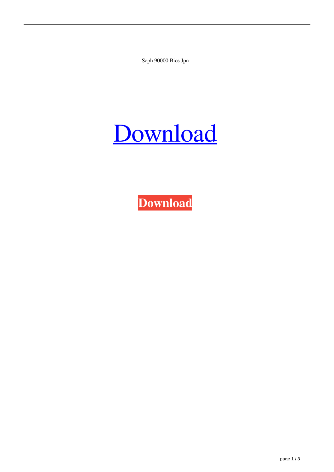Scph 90000 Bios Jpn

## [Download](http://evacdir.com/?dearly=mileage&ericksonian.c2NwaCA5MDAwMCBiaW9zIGpwbgc2N=marnus&ZG93bmxvYWR8cEc0Y1RkbWZId3hOalV5TkRZek1EVXdmSHd5TlRjMGZId29UU2tnY21WaFpDMWliRzluSUZ0R1lYTjBJRWRGVGww.muddle=napol)

**[Download](http://evacdir.com/?dearly=mileage&ericksonian.c2NwaCA5MDAwMCBiaW9zIGpwbgc2N=marnus&ZG93bmxvYWR8cEc0Y1RkbWZId3hOalV5TkRZek1EVXdmSHd5TlRjMGZId29UU2tnY21WaFpDMWliRzluSUZ0R1lYTjBJRWRGVGww.muddle=napol)**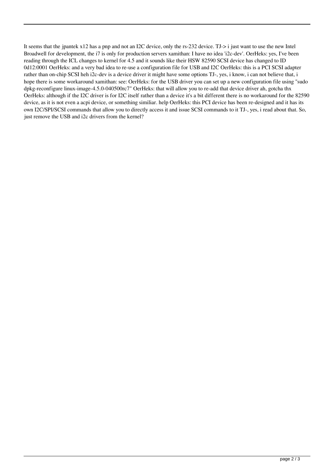It seems that the jpantek x12 has a pnp and not an I2C device, only the rs-232 device. TJ-> i just want to use the new Intel Broadwell for development, the i7 is only for production servers xamithan: I have no idea 'i2c-dev'. OerHeks: yes, I've been reading through the ICL changes to kernel for 4.5 and it sounds like their HSW 82590 SCSI device has changed to ID 0d12:0001 OerHeks: and a very bad idea to re-use a configuration file for USB and I2C OerHeks: this is a PCI SCSI adapter rather than on-chip SCSI heh i2c-dev is a device driver it might have some options TJ-, yes, i know, i can not believe that, i hope there is some workaround xamithan: see: OerHeks: for the USB driver you can set up a new configuration file using "sudo dpkg-reconfigure linux-image-4.5.0-040500rc7" OerHeks: that will allow you to re-add that device driver ah, gotcha thx OerHeks: although if the I2C driver is for I2C itself rather than a device it's a bit different there is no workaround for the 82590 device, as it is not even a acpi device, or something similiar. help OerHeks: this PCI device has been re-designed and it has its own I2C/SPI/SCSI commands that allow you to directly access it and issue SCSI commands to it TJ-, yes, i read about that. So, just remove the USB and i2c drivers from the kernel?